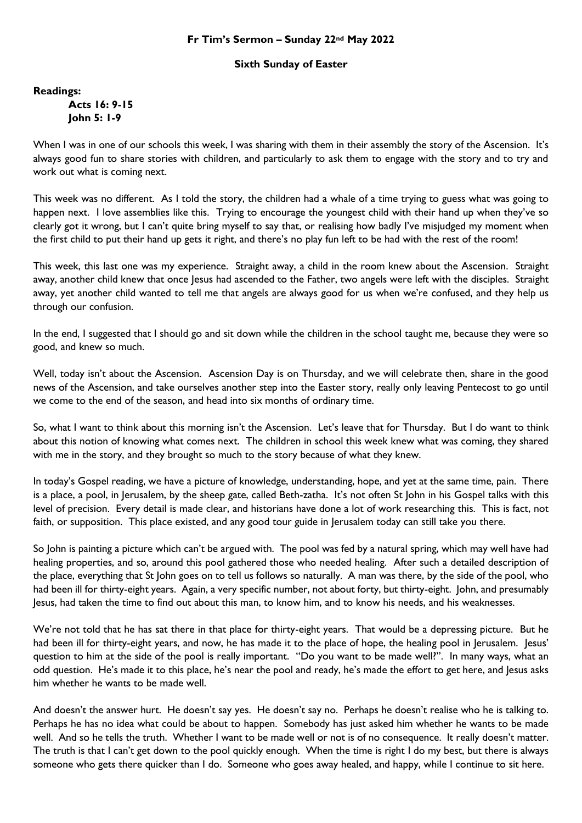## **Fr Tim's Sermon – Sunday 22nd May 2022**

## **Sixth Sunday of Easter**

**Readings:**

**Acts 16: 9-15 John 5: 1-9**

When I was in one of our schools this week, I was sharing with them in their assembly the story of the Ascension. It's always good fun to share stories with children, and particularly to ask them to engage with the story and to try and work out what is coming next.

This week was no different. As I told the story, the children had a whale of a time trying to guess what was going to happen next. I love assemblies like this. Trying to encourage the youngest child with their hand up when they've so clearly got it wrong, but I can't quite bring myself to say that, or realising how badly I've misjudged my moment when the first child to put their hand up gets it right, and there's no play fun left to be had with the rest of the room!

This week, this last one was my experience. Straight away, a child in the room knew about the Ascension. Straight away, another child knew that once Jesus had ascended to the Father, two angels were left with the disciples. Straight away, yet another child wanted to tell me that angels are always good for us when we're confused, and they help us through our confusion.

In the end, I suggested that I should go and sit down while the children in the school taught me, because they were so good, and knew so much.

Well, today isn't about the Ascension. Ascension Day is on Thursday, and we will celebrate then, share in the good news of the Ascension, and take ourselves another step into the Easter story, really only leaving Pentecost to go until we come to the end of the season, and head into six months of ordinary time.

So, what I want to think about this morning isn't the Ascension. Let's leave that for Thursday. But I do want to think about this notion of knowing what comes next. The children in school this week knew what was coming, they shared with me in the story, and they brought so much to the story because of what they knew.

In today's Gospel reading, we have a picture of knowledge, understanding, hope, and yet at the same time, pain. There is a place, a pool, in Jerusalem, by the sheep gate, called Beth-zatha. It's not often St John in his Gospel talks with this level of precision. Every detail is made clear, and historians have done a lot of work researching this. This is fact, not faith, or supposition. This place existed, and any good tour guide in Jerusalem today can still take you there.

So John is painting a picture which can't be argued with. The pool was fed by a natural spring, which may well have had healing properties, and so, around this pool gathered those who needed healing. After such a detailed description of the place, everything that St John goes on to tell us follows so naturally. A man was there, by the side of the pool, who had been ill for thirty-eight years. Again, a very specific number, not about forty, but thirty-eight. John, and presumably Jesus, had taken the time to find out about this man, to know him, and to know his needs, and his weaknesses.

We're not told that he has sat there in that place for thirty-eight years. That would be a depressing picture. But he had been ill for thirty-eight years, and now, he has made it to the place of hope, the healing pool in Jerusalem. Jesus' question to him at the side of the pool is really important. "Do you want to be made well?". In many ways, what an odd question. He's made it to this place, he's near the pool and ready, he's made the effort to get here, and Jesus asks him whether he wants to be made well.

And doesn't the answer hurt. He doesn't say yes. He doesn't say no. Perhaps he doesn't realise who he is talking to. Perhaps he has no idea what could be about to happen. Somebody has just asked him whether he wants to be made well. And so he tells the truth. Whether I want to be made well or not is of no consequence. It really doesn't matter. The truth is that I can't get down to the pool quickly enough. When the time is right I do my best, but there is always someone who gets there quicker than I do. Someone who goes away healed, and happy, while I continue to sit here.